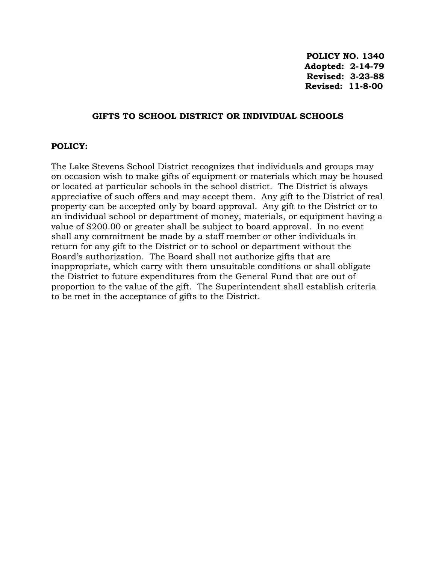**POLICY NO. 1340 Adopted: 2-14-79 Revised: 3-23-88 Revised: 11-8-00**

## **GIFTS TO SCHOOL DISTRICT OR INDIVIDUAL SCHOOLS**

## **POLICY:**

The Lake Stevens School District recognizes that individuals and groups may on occasion wish to make gifts of equipment or materials which may be housed or located at particular schools in the school district. The District is always appreciative of such offers and may accept them. Any gift to the District of real property can be accepted only by board approval. Any gift to the District or to an individual school or department of money, materials, or equipment having a value of \$200.00 or greater shall be subject to board approval. In no event shall any commitment be made by a staff member or other individuals in return for any gift to the District or to school or department without the Board's authorization. The Board shall not authorize gifts that are inappropriate, which carry with them unsuitable conditions or shall obligate the District to future expenditures from the General Fund that are out of proportion to the value of the gift. The Superintendent shall establish criteria to be met in the acceptance of gifts to the District.